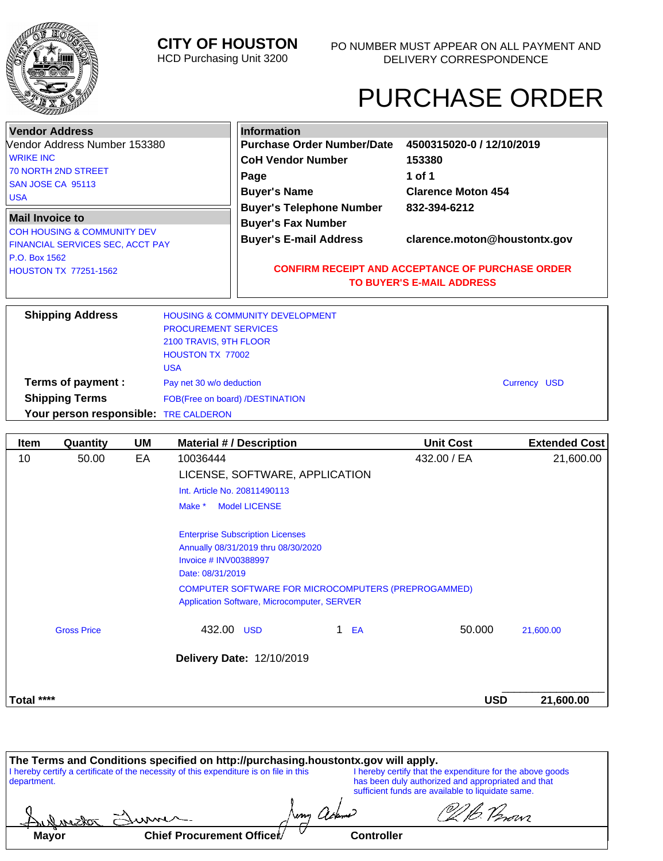

## **CITY OF HOUSTON**

HCD Purchasing Unit 3200

# PURCHASE ORDER

| <b>Vendor Address</b><br>Vendor Address Number 153380<br><b>WRIKE INC</b><br>70 NORTH 2ND STREET<br>SAN JOSE CA 95113<br><b>USA</b><br><b>Mail Invoice to</b><br><b>COH HOUSING &amp; COMMUNITY DEV</b><br><b>FINANCIAL SERVICES SEC, ACCT PAY</b><br>P.O. Box 1562<br><b>HOUSTON TX 77251-1562</b> |                                                                                                | <b>Information</b><br><b>Purchase Order Number/Date</b><br><b>CoH Vendor Number</b><br>Page<br><b>Buyer's Name</b><br><b>Buyer's Telephone Number</b><br><b>Buyer's Fax Number</b><br><b>Buyer's E-mail Address</b> | 4500315020-0 / 12/10/2019<br>153380<br>1 of 1<br><b>Clarence Moton 454</b><br>832-394-6212<br>clarence.moton@houstontx.gov |  |
|-----------------------------------------------------------------------------------------------------------------------------------------------------------------------------------------------------------------------------------------------------------------------------------------------------|------------------------------------------------------------------------------------------------|---------------------------------------------------------------------------------------------------------------------------------------------------------------------------------------------------------------------|----------------------------------------------------------------------------------------------------------------------------|--|
|                                                                                                                                                                                                                                                                                                     |                                                                                                |                                                                                                                                                                                                                     | <b>CONFIRM RECEIPT AND ACCEPTANCE OF PURCHASE ORDER</b><br><b>TO BUYER'S E-MAIL ADDRESS</b>                                |  |
| <b>Shipping Address</b>                                                                                                                                                                                                                                                                             | <b>PROCUREMENT SERVICES</b><br>2100 TRAVIS, 9TH FLOOR<br><b>HOUSTON TX 77002</b><br><b>USA</b> | <b>HOUSING &amp; COMMUNITY DEVELOPMENT</b>                                                                                                                                                                          |                                                                                                                            |  |

**Terms of payment :** Pay net 30 w/o deduction **Payment of Payment Structure Currency USD** 

**Shipping Terms** FOB(Free on board) /DESTINATION **Your person responsible:** TRE CALDERON

| <b>Item</b> | Quantity           | UM | <b>Material #/ Description</b>              | <b>Unit Cost</b>                                    |            | <b>Extended Cost</b> |
|-------------|--------------------|----|---------------------------------------------|-----------------------------------------------------|------------|----------------------|
| 10          | 50.00              | EA | 10036444                                    | 432.00 / EA                                         |            | 21,600.00            |
|             |                    |    | LICENSE, SOFTWARE, APPLICATION              |                                                     |            |                      |
|             |                    |    | Int. Article No. 20811490113                |                                                     |            |                      |
|             |                    |    | <b>Model LICENSE</b><br>Make *              |                                                     |            |                      |
|             |                    |    | <b>Enterprise Subscription Licenses</b>     |                                                     |            |                      |
|             |                    |    | Annually 08/31/2019 thru 08/30/2020         |                                                     |            |                      |
|             |                    |    | Invoice # INV00388997                       |                                                     |            |                      |
|             |                    |    | Date: 08/31/2019                            |                                                     |            |                      |
|             |                    |    |                                             | COMPUTER SOFTWARE FOR MICROCOMPUTERS (PREPROGAMMED) |            |                      |
|             |                    |    | Application Software, Microcomputer, SERVER |                                                     |            |                      |
|             | <b>Gross Price</b> |    | 432.00 USD                                  | 1.<br>EA                                            | 50.000     | 21,600.00            |
|             |                    |    | Delivery Date: 12/10/2019                   |                                                     |            |                      |
| Total ****  |                    |    |                                             |                                                     | <b>USD</b> | 21,600.00            |

|                                                                                                                                                     | The Terms and Conditions specified on http://purchasing.houstontx.gov will apply. |  |  |                                                                                                         |
|-----------------------------------------------------------------------------------------------------------------------------------------------------|-----------------------------------------------------------------------------------|--|--|---------------------------------------------------------------------------------------------------------|
| I hereby certify a certificate of the necessity of this expenditure is on file in this<br>I hereby certify that the expenditure for the above goods |                                                                                   |  |  |                                                                                                         |
| department.                                                                                                                                         |                                                                                   |  |  | has been duly authorized and appropriated and that<br>sufficient funds are available to liquidate same. |
|                                                                                                                                                     | Sulvestor Summer                                                                  |  |  | D.B. Person                                                                                             |
| <b>Mayor</b>                                                                                                                                        | Chief Procurement Officer/                                                        |  |  | <b>Controller</b>                                                                                       |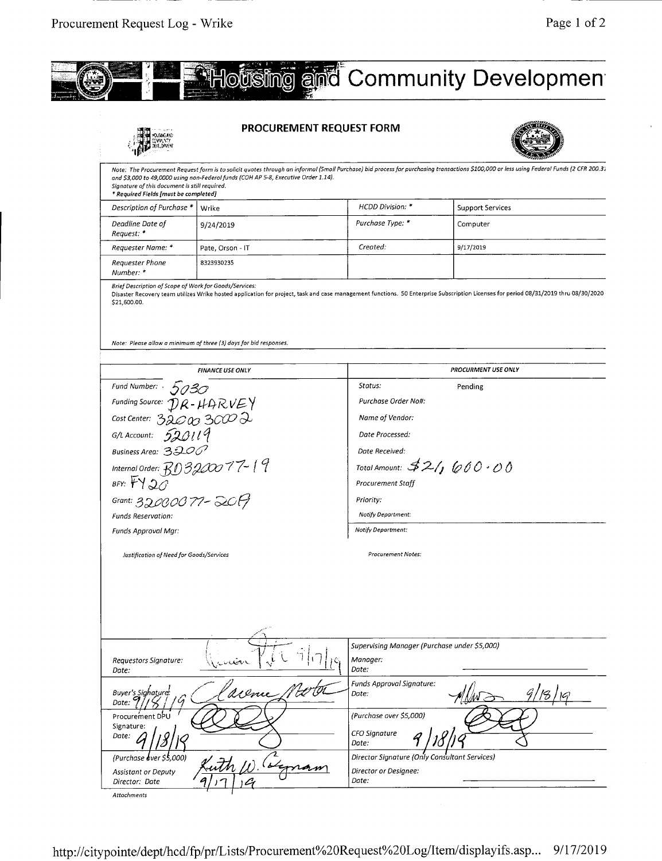

|                                                                                                       | <b>PROCUREMENT REQUEST FORM</b>                                                    |                                                                   |                                                                                                                                                                                          |  |  |
|-------------------------------------------------------------------------------------------------------|------------------------------------------------------------------------------------|-------------------------------------------------------------------|------------------------------------------------------------------------------------------------------------------------------------------------------------------------------------------|--|--|
| Signature of this document is still required.<br>* Required Fields [must be completed]                | and \$3,000 to 49,0000 using non-Federal funds (COH AP 5-8, Executive Order 1.14). |                                                                   | Note: The Procurement Request form is to solicit quotes through an informal (Small Purchase) bid process for purchasing transactions \$100,000 or less using Federal Funds (2 CFR 200.31 |  |  |
| Description of Purchase *                                                                             | Wrike                                                                              | HCDD Division: *                                                  | <b>Support Services</b>                                                                                                                                                                  |  |  |
| Deadline Date of<br>Request: *                                                                        | 9/24/2019                                                                          | Purchase Type: *                                                  | Computer                                                                                                                                                                                 |  |  |
| Requester Name: *                                                                                     | Pate, Orson - IT                                                                   | Created:                                                          | 9/17/2019                                                                                                                                                                                |  |  |
| Requester Phone<br>Number: *                                                                          | 8323930235                                                                         |                                                                   |                                                                                                                                                                                          |  |  |
| Brief Description of Scope of Work for Goods/Services:<br>\$21,600.00.                                | Note: Please allow a minimum of three (3) days for bid responses.                  |                                                                   | Disaster Recovery team utilizes Wrike hosted application for project, task and case management functions. 50 Enterprise Subscription Licenses for period 08/31/2019 thru 08/30/2020      |  |  |
|                                                                                                       |                                                                                    |                                                                   |                                                                                                                                                                                          |  |  |
|                                                                                                       | <b>FINANCE USE ONLY</b>                                                            |                                                                   | PROCURMENT USE ONLY                                                                                                                                                                      |  |  |
| Fund Number: 5030<br>Funding Source: $\mathcal{D}R - \mu\mathcal{A}RVEY$<br>Cost Center: 32000 3000 2 |                                                                                    | Status:                                                           | Pending                                                                                                                                                                                  |  |  |
|                                                                                                       |                                                                                    | Purchase Order No#:                                               |                                                                                                                                                                                          |  |  |
|                                                                                                       |                                                                                    | Name of Vendor:                                                   |                                                                                                                                                                                          |  |  |
| G/L Account: $\overline{520119}$                                                                      |                                                                                    | Date Processed:                                                   |                                                                                                                                                                                          |  |  |
| Business Area: 3200                                                                                   |                                                                                    | Date Received:                                                    |                                                                                                                                                                                          |  |  |
|                                                                                                       |                                                                                    | Total Amount: $32/$ 600 · 00                                      |                                                                                                                                                                                          |  |  |
| Internal Order: $BD3200077 - 19$<br>BFY: $FY20$                                                       |                                                                                    | Procurement Staff                                                 |                                                                                                                                                                                          |  |  |
|                                                                                                       |                                                                                    |                                                                   |                                                                                                                                                                                          |  |  |
| Grant: 32000077-2017                                                                                  |                                                                                    | Priority:                                                         |                                                                                                                                                                                          |  |  |
| <b>Funds Reservation:</b>                                                                             |                                                                                    | Notify Department:                                                |                                                                                                                                                                                          |  |  |
| Funds Approval Mgr:                                                                                   |                                                                                    | Notify Department:                                                |                                                                                                                                                                                          |  |  |
| Justification of Need for Goods/Services                                                              |                                                                                    | Procurement Notes:                                                |                                                                                                                                                                                          |  |  |
|                                                                                                       |                                                                                    |                                                                   |                                                                                                                                                                                          |  |  |
| Requestors Signature:<br>Date:                                                                        |                                                                                    | Supervising Manager (Purchase under \$5,000)<br>Manager:<br>Date: |                                                                                                                                                                                          |  |  |
| Buver's Sighature:<br>Date:                                                                           | aceme                                                                              | <b>Funds Approval Signature:</b><br>Date:                         |                                                                                                                                                                                          |  |  |
| Procurement DPU                                                                                       |                                                                                    | (Purchase over \$5,000)                                           |                                                                                                                                                                                          |  |  |
| Signature:<br>Date:                                                                                   |                                                                                    | CFO Signature<br>Date:                                            |                                                                                                                                                                                          |  |  |
| (Purchase over \$5,000)                                                                               |                                                                                    | Director Signature (Only Consultant Services)                     |                                                                                                                                                                                          |  |  |
| <b>Assistant or Deputy</b><br>Director: Date                                                          |                                                                                    | Director or Designee:<br>Date:                                    |                                                                                                                                                                                          |  |  |
| Attachments                                                                                           |                                                                                    |                                                                   |                                                                                                                                                                                          |  |  |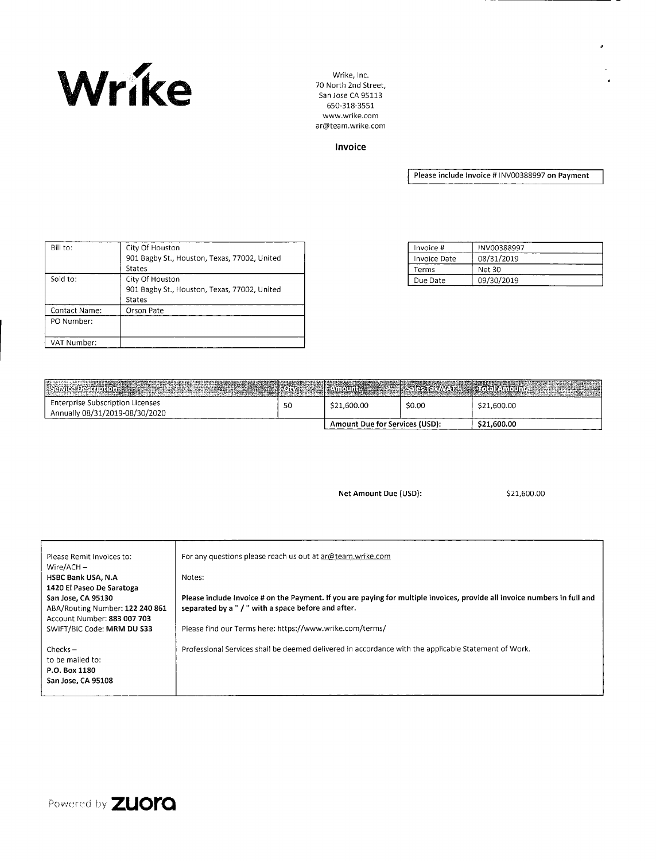

70 North 2nd Street, San Jose CA 95113 650-318-3551 www.wrike.com ar@team.wrike.com

Invoice

**Please include Invoice** # 1NV00388997 **on Payment** 

| Bill to:      | City Of Houston                              |
|---------------|----------------------------------------------|
|               | 901 Bagby St., Houston, Texas, 77002, United |
|               | <b>States</b>                                |
| Sold to:      | City Of Houston                              |
|               | 901 Bagby St., Houston, Texas, 77002, United |
|               | <b>States</b>                                |
| Contact Name: | Orson Pate                                   |
| PO Number:    |                                              |
|               |                                              |
| VAT Number:   |                                              |

| Invoice #    | INV00388997 |
|--------------|-------------|
| Invoice Date | 08/31/2019  |
| Terms        | Net 30      |
| Due Date     | 09/30/2019  |

| Servizopeription and the state of the state of the state of the state of the state of the state of the state of the state of the state of the state of the state of the state of the state of the state of the state of the st |    |                                       |        |             |
|--------------------------------------------------------------------------------------------------------------------------------------------------------------------------------------------------------------------------------|----|---------------------------------------|--------|-------------|
| Enterprise Subscription Licenses<br>Annually 08/31/2019-08/30/2020                                                                                                                                                             | 50 | \$21,600.00                           | \$0.00 | \$21,600.00 |
|                                                                                                                                                                                                                                |    | <b>Amount Due for Services (USD):</b> |        | \$21,600.00 |

**Net Amount Due (USD):** \$21,600.00

| Please Remit Invoices to:<br>Wire/ACH $-$<br><b>HSBC Bank USA, N.A.</b><br>1420 El Paseo De Saratoga<br>San Jose, CA 95130<br>ABA/Routing Number: 122 240 861<br>Account Number: 883 007 703<br>SWIFT/BIC Code: MRM DU \$33 | For any questions please reach us out at ar@team.wrike.com<br>Notes:<br>Please include Invoice # on the Payment. If you are paying for multiple invoices, provide all invoice numbers in full and<br>separated by a " / " with a space before and after.<br>Please find our Terms here: https://www.wrike.com/terms/ |
|-----------------------------------------------------------------------------------------------------------------------------------------------------------------------------------------------------------------------------|----------------------------------------------------------------------------------------------------------------------------------------------------------------------------------------------------------------------------------------------------------------------------------------------------------------------|
| $Checks -$<br>to be mailed to:<br>P.O. Box 1180                                                                                                                                                                             | Professional Services shall be deemed delivered in accordance with the applicable Statement of Work.                                                                                                                                                                                                                 |
| San Jose, CA 95108                                                                                                                                                                                                          |                                                                                                                                                                                                                                                                                                                      |

Powered by **ZUOI'Q**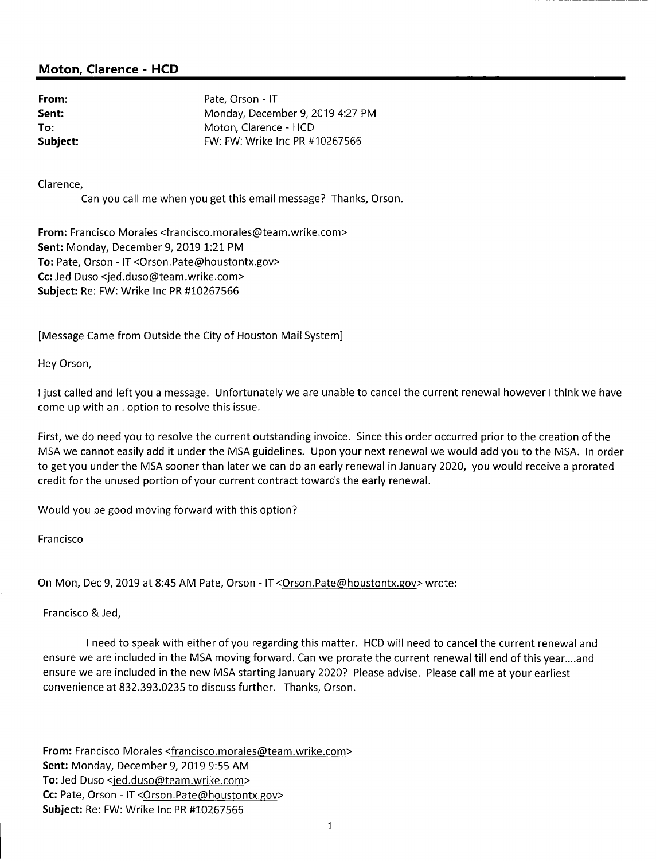#### **Moton, Clarence** - **HCD**

**From:** Pate, Orson - IT Sent: Sent: Monday, December 9, 2019 4:27 PM **To:** Moton, Clarence - HCD **Subject:** FW: FW: FW: Wrike Inc PR #10267566

Clarence,

Can you call me when you get this email message? Thanks, Orson.

**From:** Francisco Morales <francisco.morales@team.wrike.com> Sent: Monday, December 9, 2019 1:21 PM To: Pate, Orson - IT <Orson.Pate@houstontx.gov> Cc: Jed Duso <jed.duso@team.wrike.com> **Subject:** Re: FW: Wrike Inc PR #10267566

[Message Came from Outside the City of Houston Mail System]

Hey Orson,

I just called and left you a message. Unfortunately we are unable to cancel the current renewal however I think we have come up with an . option to resolve this issue.

First, we do need you to resolve the current outstanding invoice. Since this order occurred prior to the creation of the MSA we cannot easily add it under the MSA guidelines. Upon your next renewal we would add you to the MSA. In order to get you under the MSA sooner than later we can do an early renewal in January 2020, you would receive a prorated credit for the unused portion of your current contract towards the early renewal.

Would you be good moving forward with this option?

Francisco

On Mon, Dec 9, 2019 at 8:45 AM Pate, Orson - IT < Orson. Pate@houstontx.gov> wrote:

Francisco & Jed,

I need to speak with either of you regarding this matter. HCD will need to cancel the current renewal and ensure we are included in the MSA moving forward. Can we prorate the current renewal till end of this year....and ensure we are included in the new MSA starting January 2020? Please advise. Please call me at your earliest convenience at 832.393.0235 to discuss further. Thanks, Orson.

**From:** Francisco Morales <francisco.morales@team.wrike.com> Sent: Monday, December 9, 2019 9:55 AM To: Jed Duso <jed.duso@team.wrike.com> Cc: Pate, Orson - IT < Orson.Pate@houstontx.gov> **Subject:** Re: FW: Wrike Inc PR #10267566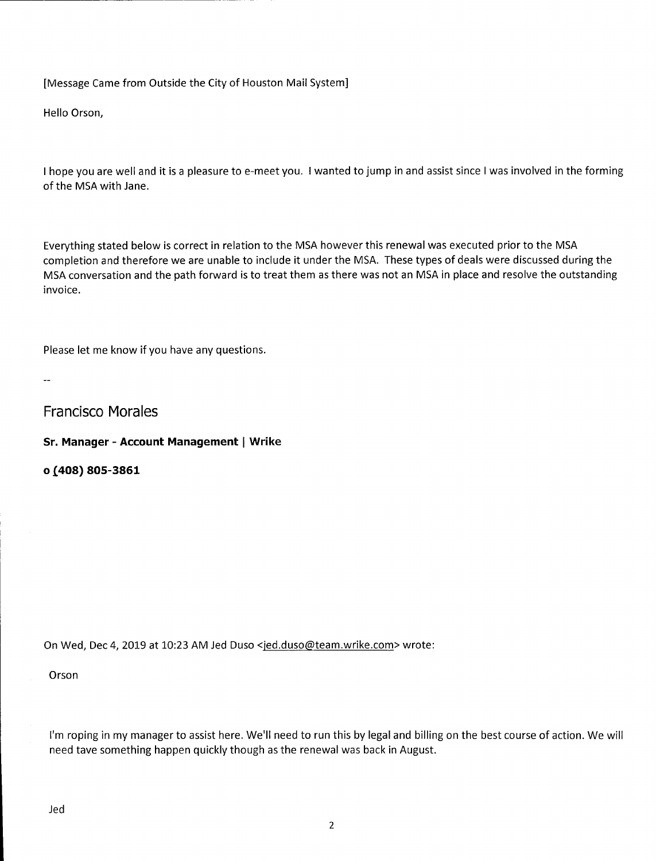[Message Came from Outside the City of Houston Mail System]

Hello Orson,

I hope you are well and it is a pleasure to e-meet you. I wanted to jump in and assist since I was involved in the forming of the MSA with Jane.

Everything stated below is correct in relation to the MSA however this renewal was executed prior to the MSA completion and therefore we are unable to include it under the MSA. These types of deals were discussed during the MSA conversation and the path forward is to treat them as there was not an MSA in place and resolve the outstanding invoice.

Please let me know if you have any questions.

 $\overline{a}$ 

Francisco Morales

**Sr. Manager - Account Management | Wrike** 

**0j408) 805-3861** 

On Wed, Dec 4, 2019 at 10:23 AM Jed Duso <jed.duso@team.wrike.com> wrote:

Orson

I'm roping in my manager to assist here. We'll need to run this by legal and billing on the best course of action. We will need tave something happen quickly though as the renewal was back in August.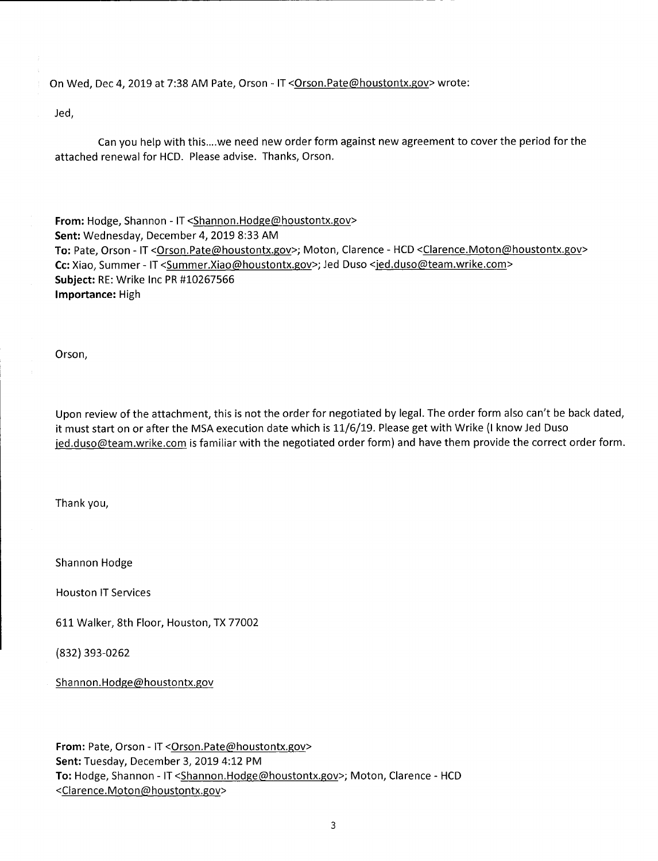On Wed, Dec 4, 2019 at 7:38 AM Pate, Orson - IT < Orson.Pate@houstontx.gov> wrote:

Jed,

Can you help with this....we need new order form against new agreement to cover the period for the attached renewal for HCD. Please advise. Thanks, Orson.

From: Hodge, Shannon - IT < Shannon.Hodge@houstontx.gov> Sent: Wednesday, December 4, 2019 8:33 AM To: Pate, Orson - IT < Orson.Pate@houstontx.gov>; Moton, Clarence - HCD < Clarence.Moton@houstontx.gov> Cc: Xiao, Summer - IT < Summer. Xiao@houstontx.gov>; Jed Duso <jed.duso@team.wrike.com> **Subject: RE: Wrike Inc PR #10267566 Importance:** High

Orson,

Upon review of the attachment, this is not the order for negotiated by legal. The order form also can't be back dated, it must start on or after the MSA execution date which is 11/6/19. Please get with Wrike (I know Jed Duso jed.duso@team.wrike.com is familiar with the negotiated order form) and have them provide the correct order form.

Thank you,

Shannon Hodge

Houston IT Services

611 Walker, 8th Floor, Houston, TX 77002

(832) 393-0262

Shannon.Hodge@houstontx.gov

From: Pate, Orson - IT < Orson.Pate@houstontx.gov> Sent: Tuesday, December 3, 2019 4:12 PM To: Hodge, Shannon - IT < Shannon.Hodge@houstontx.gov>; Moton, Clarence - HCD <Clarence.Moton@houstontx.gov>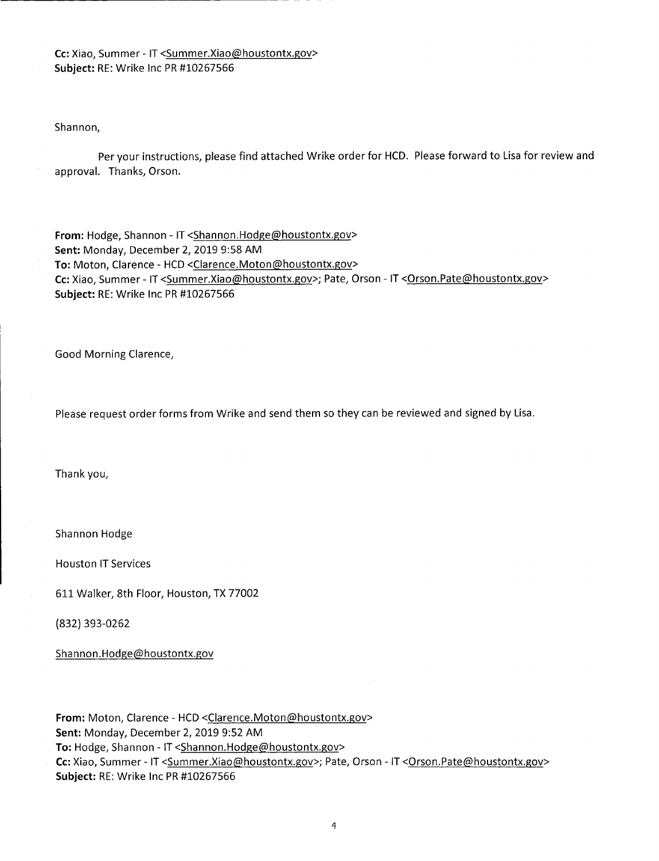Cc: Xiao, Summer - IT < Summer. Xiao@houstontx.gov> **Subject:** RE: Wrike Inc PR #10267566

Shannon,

Per your instructions, please find attached Wrike order for HCD. Please forward to Lisa for review and approval. Thanks, Orson.

From: Hodge, Shannon - IT < Shannon.Hodge@houstontx.gov> **Sent:** Monday, December 2, 2019 9:58 AM To: Moton, Clarence - HCD <Clarence.Moton@houstontx.gov> Cc: Xiao, Summer - IT <Summer.Xiao@houstontx.gov>; Pate, Orson - IT < Orson.Pate@houstontx.gov> **Subject:** RE: Wrike Inc PR #10267566

Good Morning Clarence,

Please request order forms from Wrike and send them so they can be reviewed and signed by Lisa.

Thank you,

Shannon Hodge

Houston IT Services

611 Walker, 8th Floor, Houston, TX 77002

(832) 393-0262

Shannon.Hodge@houstontx.gov

From: Moton, Clarence - HCD <Clarence.Moton@houstontx.gov> Sent: Monday, December 2, 2019 9:52 AM To: Hodge, Shannon - IT < Shannon.Hodge@houstontx.gov> Cc: Xiao, Summer - IT < Summer. Xiao@houstontx.gov>; Pate, Orson - IT < Orson.Pate@houstontx.gov> Subject: RE: Wrike Inc PR #10267566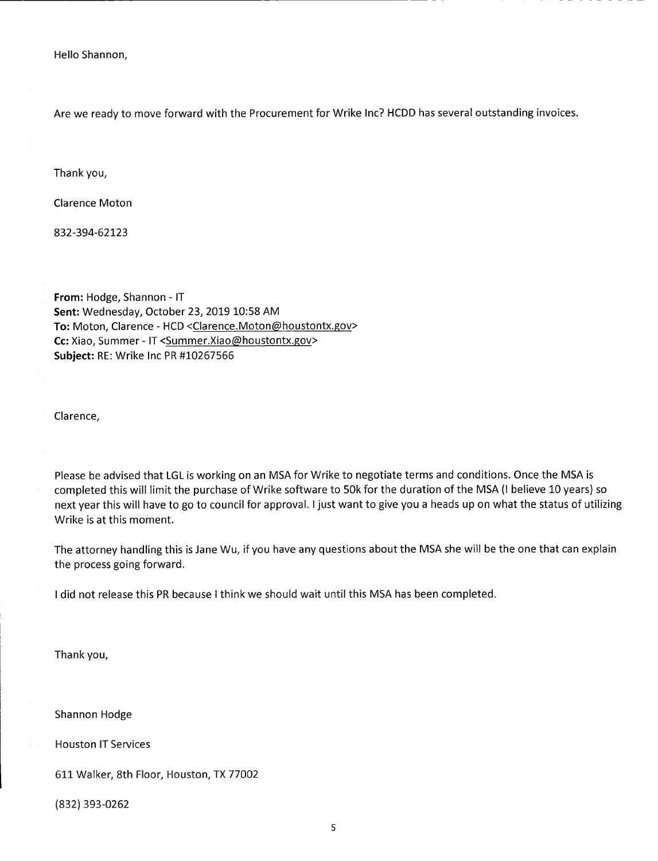Hello Shannon,

Are we ready to move forward with the Procurement for Wrike Inc? HCDD has several outstanding invoices.

Thank you,

Clarence Moton

832-394-62123

From: Hodge, Shannon - IT **Sent:** Wednesday, October 23, 2019 10:58 AM To: Moton, Clarence - HCD <Clarence.Moton@houstontx.gov> Cc: Xiao, Summer - IT < Summer. Xiao@houstontx.gov> **Subject:** RE: Wrike Inc PR #10267566

Clarence,

Please be advised that LGL is working on an MSA for Wrike to negotiate terms and conditions. Once the MSA is completed this will limit the purchase of Wrike software to 50k for the duration of the MSA (I believe 10 years) so next year this will have to go to council for approval. I just want to give you a heads up on what the status of utilizing Wrike is at this moment.

The attorney handling this is Jane Wu, if you have any questions about the MSA she will be the one that can explain the process going forward.

I did not release this PR because I think we should wait until this MSA has been completed.

Thank you,

Shannon Hodge

Houston IT Services

611 Walker, 8th Floor, Houston, TX 77002

(832) 393-0262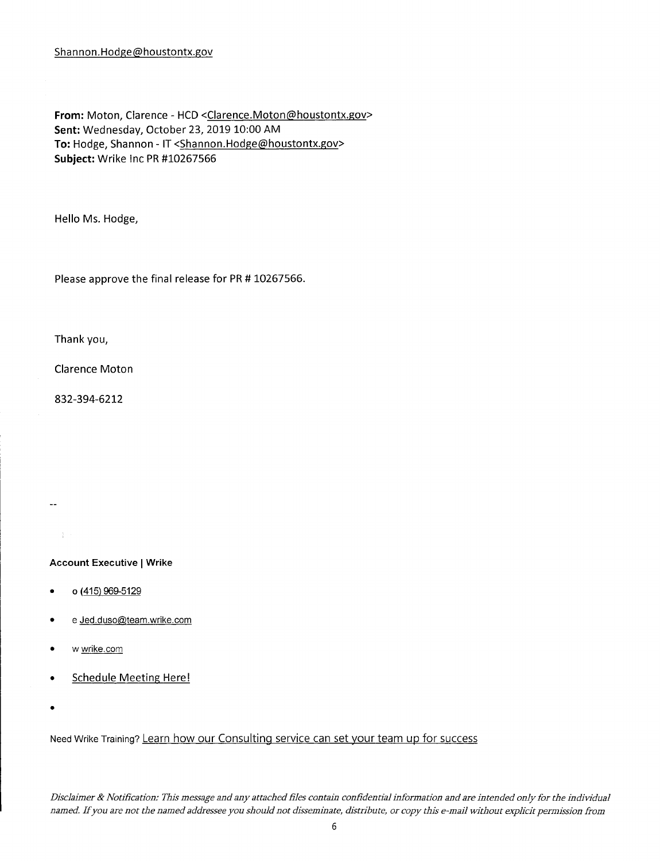From: Moton, Clarence - HCD <Clarence.Moton@houstontx.gov> Sent: Wednesday, October 23, 2019 10:00 AM To: Hodge, Shannon - IT < Shannon.Hodge@houstontx.gov> **Subject: Wrike Inc PR #10267566** 

Hello Ms. Hodge,

Please approve the final release for PR # 10267566.

Thank you,

Clarence Moton

832-394-6212

**Account Executive I Wrike** 

- o (415) 969-5129
- e Jed.duso@team.wrike.com
- w wrike.com
- Schedule Meeting Here!
- 

 $\ddotsc$ 

 $\pm 1$  .

Need Wrike Training? Learn how our Consulting service can set your team up for success

*Disclaimer & Notification: This message and any attached files contain confidential information and are intended only for the individual named. Ifyou are not the named addressee you should not disseminate, distribute, or copy this e-mail without explicit permission from*